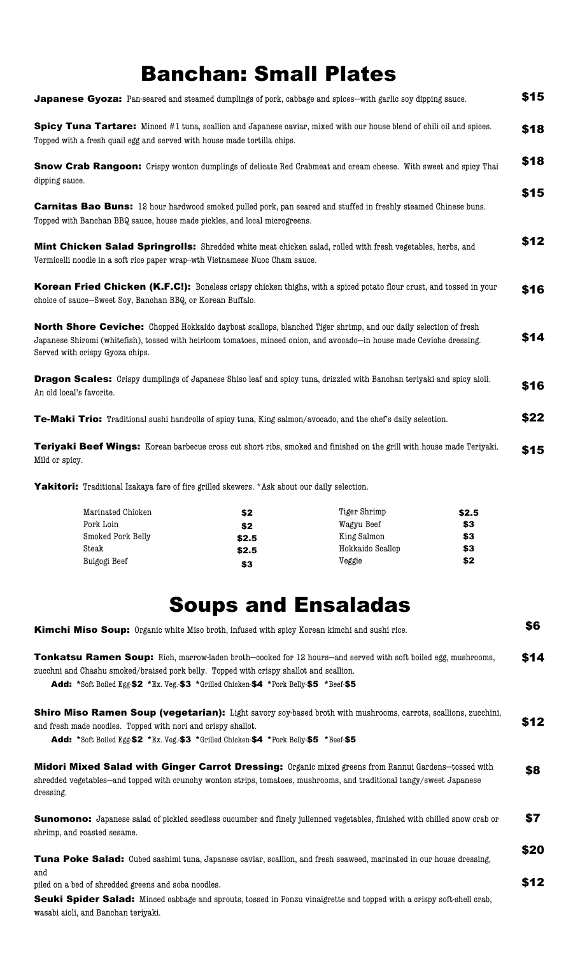## Banchan: Small Plates

| <b>Japanese Gyoza:</b> Pan-seared and steamed dumplings of pork, cabbage and spices—with garlic soy dipping sauce.                                                                                                                                                           | \$15 |
|------------------------------------------------------------------------------------------------------------------------------------------------------------------------------------------------------------------------------------------------------------------------------|------|
| Spicy Tuna Tartare: Minced #1 tuna, scallion and Japanese caviar, mixed with our house blend of chili oil and spices.<br>Topped with a fresh quail egg and served with house made tortilla chips.                                                                            | \$18 |
| <b>Snow Crab Rangoon:</b> Crispy wonton dumplings of delicate Red Crabmeat and cream cheese. With sweet and spicy Thai<br>dipping sauce.                                                                                                                                     | \$18 |
| <b>Carnitas Bao Buns:</b> 12 hour hardwood smoked pulled pork, pan seared and stuffed in freshly steamed Chinese buns.<br>Topped with Banchan BBQ sauce, house made pickles, and local microgreens.                                                                          | \$15 |
| Mint Chicken Salad Springrolls: Shredded white meat chicken salad, rolled with fresh vegetables, herbs, and<br>Vermicelli noodle in a soft rice paper wrap-wth Vietnamese Nuoc Cham sauce.                                                                                   | \$12 |
| Korean Fried Chicken (K.F.C!): Boneless crispy chicken thighs, with a spiced potato flour crust, and tossed in your<br>choice of sauce-Sweet Soy, Banchan BBQ, or Korean Buffalo.                                                                                            | \$16 |
| North Shore Ceviche: Chopped Hokkaido dayboat scallops, blanched Tiger shrimp, and our daily selection of fresh<br>Japanese Shiromi (whitefish), tossed with heirloom tomatoes, minced onion, and avocado-in house made Ceviche dressing.<br>Served with crispy Gyoza chips. | \$14 |
| <b>Dragon Scales:</b> Crispy dumplings of Japanese Shiso leaf and spicy tuna, drizzled with Banchan teriyaki and spicy aioli.<br>An old local's favorite.                                                                                                                    | \$16 |
| Te-Maki Trio: Traditional sushi handrolls of spicy tuna, King salmon/avocado, and the chef's daily selection.                                                                                                                                                                | \$22 |
| Teriyaki Beef Wings: Korean barbecue cross cut short ribs, smoked and finished on the grill with house made Teriyaki.<br>Mild or spicy.                                                                                                                                      | \$15 |

Yakitori: Traditional Izakaya fare of fire grilled skewers. \*Ask about our daily selection.

wasabi aioli, and Banchan teriyaki.

| Marinated Chicken | \$2   | Tiger Shrimp     | \$2.5 |
|-------------------|-------|------------------|-------|
| Pork Loin         | \$2   | Wagyu Beef       | \$3   |
| Smoked Pork Belly | \$2.5 | King Salmon      | \$3   |
| Steak             | \$2.5 | Hokkaido Scallop | \$3   |
| Bulgogi Beef      | \$3   | Veggie           | \$2   |

## Soups and Ensaladas

| <b>Kimchi Miso Soup:</b> Organic white Miso broth, infused with spicy Korean kimchi and sushi rice.                                                                                                                                                                                                      |      |  |  |
|----------------------------------------------------------------------------------------------------------------------------------------------------------------------------------------------------------------------------------------------------------------------------------------------------------|------|--|--|
| <b>Tonkatsu Ramen Soup:</b> Rich, marrow-laden broth—cooked for 12 hours—and served with soft boiled egg, mushrooms,<br>zucchni and Chashu smoked/braised pork belly. Topped with crispy shallot and scallion.<br>Add: *Soft Boiled Egg-\$2 *Ex. Veg.-\$3 *Grilled Chicken-\$4 *Pork Belly-\$5 *Beef-\$5 | \$14 |  |  |
| <b>Shiro Miso Ramen Soup (vegetarian):</b> Light savory soy-based broth with mushrooms, carrots, scallions, zucchini,<br>and fresh made noodles. Topped with nori and crispy shallot.<br>Add: *Soft Boiled Egg-\$2 *Ex. Veg.-\$3 *Grilled Chicken-\$4 *Pork Belly-\$5 *Beef-\$5                          | \$12 |  |  |
| Midori Mixed Salad with Ginger Carrot Dressing: Organic mixed greens from Rannui Gardens-tossed with<br>shredded vegetables—and topped with crunchy wonton strips, tomatoes, mushrooms, and traditional tangy/sweet Japanese<br>dressing.                                                                | \$8  |  |  |
| <b>Sunomono:</b> Japanese salad of pickled seedless cucumber and finely julienned vegetables, finished with chilled snow crab or<br>shrimp, and roasted sesame.                                                                                                                                          | \$7  |  |  |
| Tuna Poke Salad: Cubed sashimi tuna, Japanese caviar, scallion, and fresh seaweed, marinated in our house dressing,<br>and                                                                                                                                                                               | \$20 |  |  |
| piled on a bed of shredded greens and soba noodles.                                                                                                                                                                                                                                                      | \$12 |  |  |
| Seuki Spider Salad: Minced cabbage and sprouts, tossed in Ponzu vinaigrette and topped with a crispy soft-shell crab,                                                                                                                                                                                    |      |  |  |